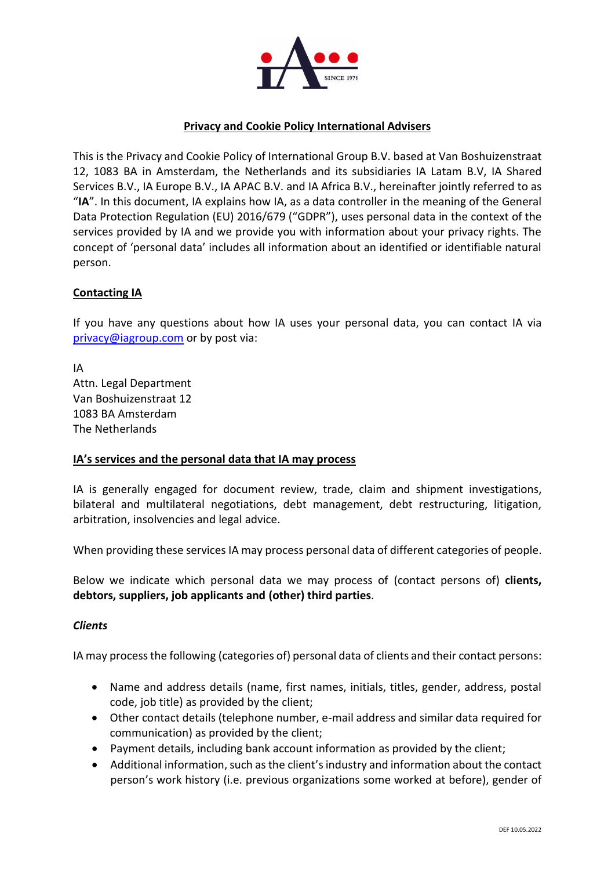

# **Privacy and Cookie Policy International Advisers**

This is the Privacy and Cookie Policy of International Group B.V. based at Van Boshuizenstraat 12, 1083 BA in Amsterdam, the Netherlands and its subsidiaries IA Latam B.V, IA Shared Services B.V., IA Europe B.V., IA APAC B.V. and IA Africa B.V., hereinafter jointly referred to as "**IA**". In this document, IA explains how IA, as a data controller in the meaning of the General Data Protection Regulation (EU) 2016/679 ("GDPR"), uses personal data in the context of the services provided by IA and we provide you with information about your privacy rights. The concept of 'personal data' includes all information about an identified or identifiable natural person.

# **Contacting IA**

If you have any questions about how IA uses your personal data, you can contact IA via [privacy@iagroup.com](mailto:privacy@iagroup.com) or by post via:

IA Attn. Legal Department Van Boshuizenstraat 12 1083 BA Amsterdam The Netherlands

### **IA's services and the personal data that IA may process**

IA is generally engaged for document review, trade, claim and shipment investigations, bilateral and multilateral negotiations, debt management, debt restructuring, litigation, arbitration, insolvencies and legal advice.

When providing these services IA may process personal data of different categories of people.

Below we indicate which personal data we may process of (contact persons of) **clients, debtors, suppliers, job applicants and (other) third parties**.

### *Clients*

IA may processthe following (categories of) personal data of clients and their contact persons:

- Name and address details (name, first names, initials, titles, gender, address, postal code, job title) as provided by the client;
- Other contact details (telephone number, e-mail address and similar data required for communication) as provided by the client;
- Payment details, including bank account information as provided by the client;
- Additional information, such as the client's industry and information about the contact person's work history (i.e. previous organizations some worked at before), gender of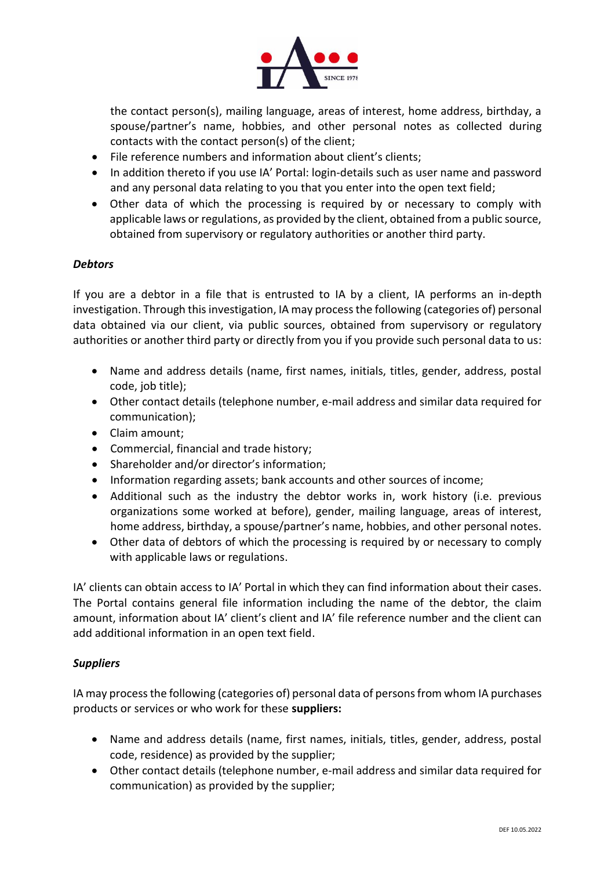

the contact person(s), mailing language, areas of interest, home address, birthday, a spouse/partner's name, hobbies, and other personal notes as collected during contacts with the contact person(s) of the client;

- File reference numbers and information about client's clients;
- In addition thereto if you use IA' Portal: login-details such as user name and password and any personal data relating to you that you enter into the open text field;
- Other data of which the processing is required by or necessary to comply with applicable laws or regulations, as provided by the client, obtained from a public source, obtained from supervisory or regulatory authorities or another third party.

# *Debtors*

If you are a debtor in a file that is entrusted to IA by a client, IA performs an in-depth investigation. Through this investigation, IA may process the following (categories of) personal data obtained via our client, via public sources, obtained from supervisory or regulatory authorities or another third party or directly from you if you provide such personal data to us:

- Name and address details (name, first names, initials, titles, gender, address, postal code, job title);
- Other contact details (telephone number, e-mail address and similar data required for communication);
- Claim amount;
- Commercial, financial and trade history;
- Shareholder and/or director's information;
- Information regarding assets; bank accounts and other sources of income;
- Additional such as the industry the debtor works in, work history (i.e. previous organizations some worked at before), gender, mailing language, areas of interest, home address, birthday, a spouse/partner's name, hobbies, and other personal notes.
- Other data of debtors of which the processing is required by or necessary to comply with applicable laws or regulations.

IA' clients can obtain access to IA' Portal in which they can find information about their cases. The Portal contains general file information including the name of the debtor, the claim amount, information about IA' client's client and IA' file reference number and the client can add additional information in an open text field.

# *Suppliers*

IA may process the following (categories of) personal data of persons from whom IA purchases products or services or who work for these **suppliers:**

- Name and address details (name, first names, initials, titles, gender, address, postal code, residence) as provided by the supplier;
- Other contact details (telephone number, e-mail address and similar data required for communication) as provided by the supplier;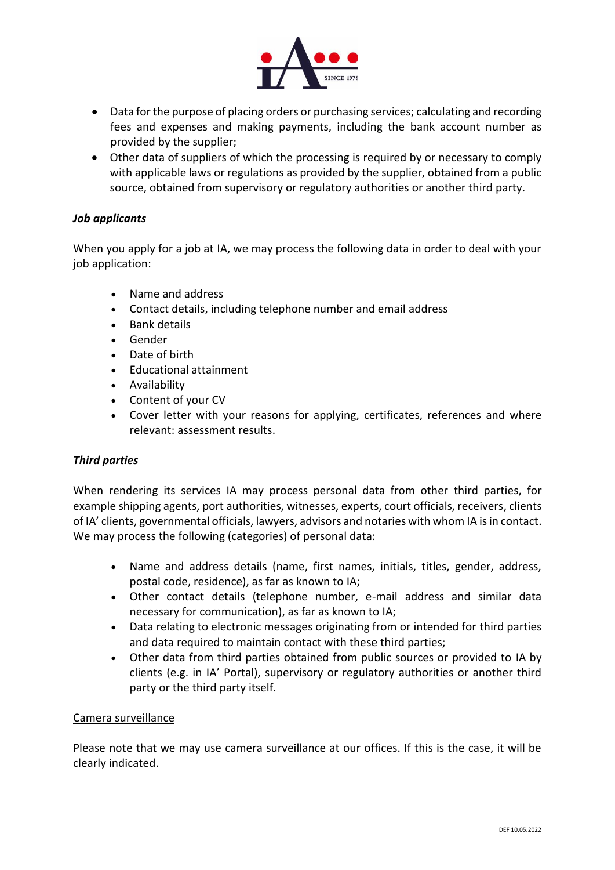

- Data for the purpose of placing orders or purchasing services; calculating and recording fees and expenses and making payments, including the bank account number as provided by the supplier;
- Other data of suppliers of which the processing is required by or necessary to comply with applicable laws or regulations as provided by the supplier, obtained from a public source, obtained from supervisory or regulatory authorities or another third party.

# *Job applicants*

When you apply for a job at IA, we may process the following data in order to deal with your job application:

- Name and address
- Contact details, including telephone number and email address
- Bank details
- Gender
- Date of birth
- Educational attainment
- Availability
- Content of your CV
- Cover letter with your reasons for applying, certificates, references and where relevant: assessment results.

### *Third parties*

When rendering its services IA may process personal data from other third parties, for example shipping agents, port authorities, witnesses, experts, court officials, receivers, clients of IA' clients, governmental officials, lawyers, advisors and notaries with whom IA is in contact. We may process the following (categories) of personal data:

- Name and address details (name, first names, initials, titles, gender, address, postal code, residence), as far as known to IA;
- Other contact details (telephone number, e-mail address and similar data necessary for communication), as far as known to IA;
- Data relating to electronic messages originating from or intended for third parties and data required to maintain contact with these third parties;
- Other data from third parties obtained from public sources or provided to IA by clients (e.g. in IA' Portal), supervisory or regulatory authorities or another third party or the third party itself.

#### Camera surveillance

Please note that we may use camera surveillance at our offices. If this is the case, it will be clearly indicated.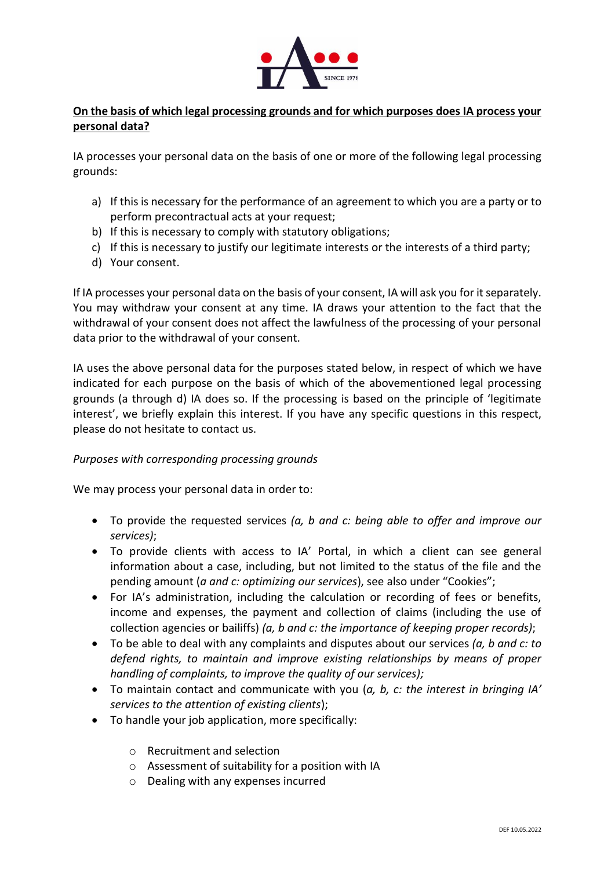

# **On the basis of which legal processing grounds and for which purposes does IA process your personal data?**

IA processes your personal data on the basis of one or more of the following legal processing grounds:

- a) If this is necessary for the performance of an agreement to which you are a party or to perform precontractual acts at your request;
- b) If this is necessary to comply with statutory obligations;
- c) If this is necessary to justify our legitimate interests or the interests of a third party;
- d) Your consent.

If IA processes your personal data on the basis of your consent, IA will ask you for it separately. You may withdraw your consent at any time. IA draws your attention to the fact that the withdrawal of your consent does not affect the lawfulness of the processing of your personal data prior to the withdrawal of your consent.

IA uses the above personal data for the purposes stated below, in respect of which we have indicated for each purpose on the basis of which of the abovementioned legal processing grounds (a through d) IA does so. If the processing is based on the principle of 'legitimate interest', we briefly explain this interest. If you have any specific questions in this respect, please do not hesitate to contact us.

### *Purposes with corresponding processing grounds*

We may process your personal data in order to:

- To provide the requested services *(a, b and c: being able to offer and improve our services)*;
- To provide clients with access to IA' Portal, in which a client can see general information about a case, including, but not limited to the status of the file and the pending amount (*a and c: optimizing our services*), see also under "Cookies";
- For IA's administration, including the calculation or recording of fees or benefits, income and expenses, the payment and collection of claims (including the use of collection agencies or bailiffs) *(a, b and c: the importance of keeping proper records)*;
- To be able to deal with any complaints and disputes about our services *(a, b and c: to defend rights, to maintain and improve existing relationships by means of proper handling of complaints, to improve the quality of our services);*
- To maintain contact and communicate with you (*a, b, c: the interest in bringing IA' services to the attention of existing clients*);
- To handle your job application, more specifically:
	- o Recruitment and selection
	- o Assessment of suitability for a position with IA
	- o Dealing with any expenses incurred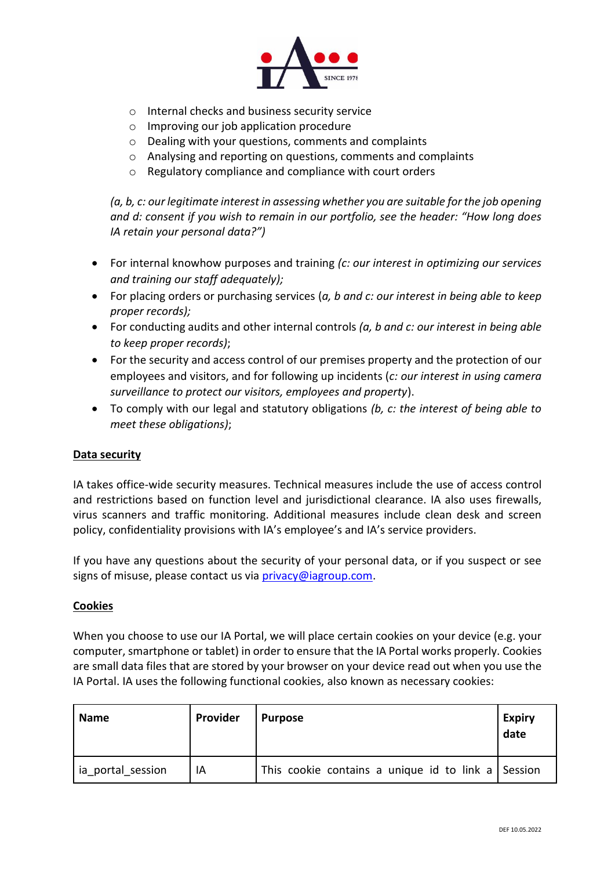

- o Internal checks and business security service
- o Improving our job application procedure
- o Dealing with your questions, comments and complaints
- $\circ$  Analysing and reporting on questions, comments and complaints
- o Regulatory compliance and compliance with court orders

*(a, b, c: our legitimate interest in assessing whether you are suitable for the job opening and d: consent if you wish to remain in our portfolio, see the header: "How long does IA retain your personal data?")*

- For internal knowhow purposes and training *(c: our interest in optimizing our services and training our staff adequately);*
- For placing orders or purchasing services (*a, b and c: our interest in being able to keep proper records);*
- For conducting audits and other internal controls *(a, b and c: our interest in being able to keep proper records)*;
- For the security and access control of our premises property and the protection of our employees and visitors, and for following up incidents (*c: our interest in using camera surveillance to protect our visitors, employees and property*).
- To comply with our legal and statutory obligations *(b, c: the interest of being able to meet these obligations)*;

### **Data security**

IA takes office-wide security measures. Technical measures include the use of access control and restrictions based on function level and jurisdictional clearance. IA also uses firewalls, virus scanners and traffic monitoring. Additional measures include clean desk and screen policy, confidentiality provisions with IA's employee's and IA's service providers.

If you have any questions about the security of your personal data, or if you suspect or see signs of misuse, please contact us via [privacy@iagroup.com.](mailto:privacy@iagroup.com)

#### **Cookies**

When you choose to use our IA Portal, we will place certain cookies on your device (e.g. your computer, smartphone or tablet) in order to ensure that the IA Portal works properly. Cookies are small data files that are stored by your browser on your device read out when you use the IA Portal. IA uses the following functional cookies, also known as necessary cookies:

| <b>Name</b>       | Provider | <b>Purpose</b>                                     | <b>Expiry</b><br>date |
|-------------------|----------|----------------------------------------------------|-----------------------|
| ia portal session | IA       | This cookie contains a unique id to link a Session |                       |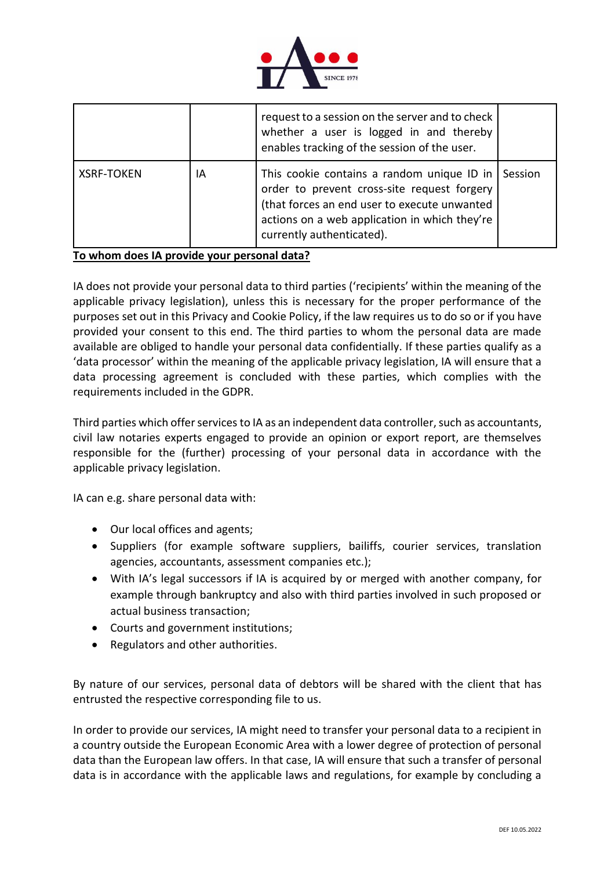

|                   |    | request to a session on the server and to check<br>whether a user is logged in and thereby<br>enables tracking of the session of the user.                                                                              |         |
|-------------------|----|-------------------------------------------------------------------------------------------------------------------------------------------------------------------------------------------------------------------------|---------|
| <b>XSRF-TOKEN</b> | IA | This cookie contains a random unique ID in<br>order to prevent cross-site request forgery<br>(that forces an end user to execute unwanted<br>actions on a web application in which they're<br>currently authenticated). | Session |

**To whom does IA provide your personal data?**

IA does not provide your personal data to third parties ('recipients' within the meaning of the applicable privacy legislation), unless this is necessary for the proper performance of the purposes set out in this Privacy and Cookie Policy, if the law requires us to do so or if you have provided your consent to this end. The third parties to whom the personal data are made available are obliged to handle your personal data confidentially. If these parties qualify as a 'data processor' within the meaning of the applicable privacy legislation, IA will ensure that a data processing agreement is concluded with these parties, which complies with the requirements included in the GDPR.

Third parties which offer services to IA as an independent data controller, such as accountants, civil law notaries experts engaged to provide an opinion or export report, are themselves responsible for the (further) processing of your personal data in accordance with the applicable privacy legislation.

IA can e.g. share personal data with:

- Our local offices and agents;
- Suppliers (for example software suppliers, bailiffs, courier services, translation agencies, accountants, assessment companies etc.);
- With IA's legal successors if IA is acquired by or merged with another company, for example through bankruptcy and also with third parties involved in such proposed or actual business transaction;
- Courts and government institutions;
- Regulators and other authorities.

By nature of our services, personal data of debtors will be shared with the client that has entrusted the respective corresponding file to us.

In order to provide our services, IA might need to transfer your personal data to a recipient in a country outside the European Economic Area with a lower degree of protection of personal data than the European law offers. In that case, IA will ensure that such a transfer of personal data is in accordance with the applicable laws and regulations, for example by concluding a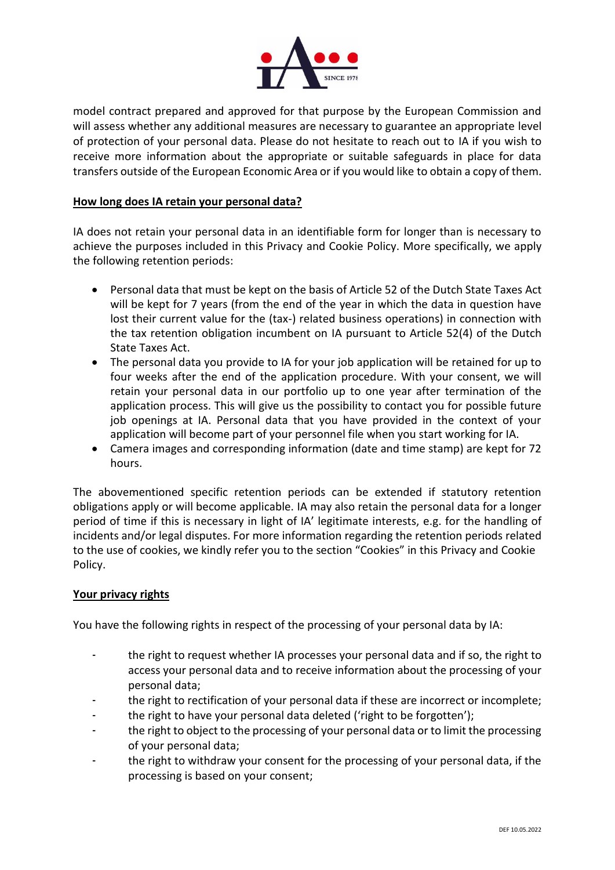

model contract prepared and approved for that purpose by the European Commission and will assess whether any additional measures are necessary to guarantee an appropriate level of protection of your personal data. Please do not hesitate to reach out to IA if you wish to receive more information about the appropriate or suitable safeguards in place for data transfers outside of the European Economic Area or if you would like to obtain a copy of them.

# **How long does IA retain your personal data?**

IA does not retain your personal data in an identifiable form for longer than is necessary to achieve the purposes included in this Privacy and Cookie Policy. More specifically, we apply the following retention periods:

- Personal data that must be kept on the basis of Article 52 of [the Dutch State Taxes Act](https://wetten.overheid.nl/BWBR0002320/2020-01-01) will be kept for 7 years (from the end of the year in which the data in question have lost their current value for the (tax-) related business operations) in connection with the tax retention obligation incumbent on IA pursuant to Article 52(4) of the Dutch State Taxes Act.
- The personal data you provide to IA for your job application will be retained for up to four weeks after the end of the application procedure. With your consent, we will retain your personal data in our portfolio up to one year after termination of the application process. This will give us the possibility to contact you for possible future job openings at IA. Personal data that you have provided in the context of your application will become part of your personnel file when you start working for IA.
- Camera images and corresponding information (date and time stamp) are kept for 72 hours.

The abovementioned specific retention periods can be extended if statutory retention obligations apply or will become applicable. IA may also retain the personal data for a longer period of time if this is necessary in light of IA' legitimate interests, e.g. for the handling of incidents and/or legal disputes. For more information regarding the retention periods related to the use of cookies, we kindly refer you to the section "Cookies" in this Privacy and Cookie Policy.

### **Your privacy rights**

You have the following rights in respect of the processing of your personal data by IA:

- the right to request whether IA processes your personal data and if so, the right to access your personal data and to receive information about the processing of your personal data;
- the right to rectification of your personal data if these are incorrect or incomplete;
- the right to have your personal data deleted ('right to be forgotten');
- the right to object to the processing of your personal data or to limit the processing of your personal data;
- the right to withdraw your consent for the processing of your personal data, if the processing is based on your consent;